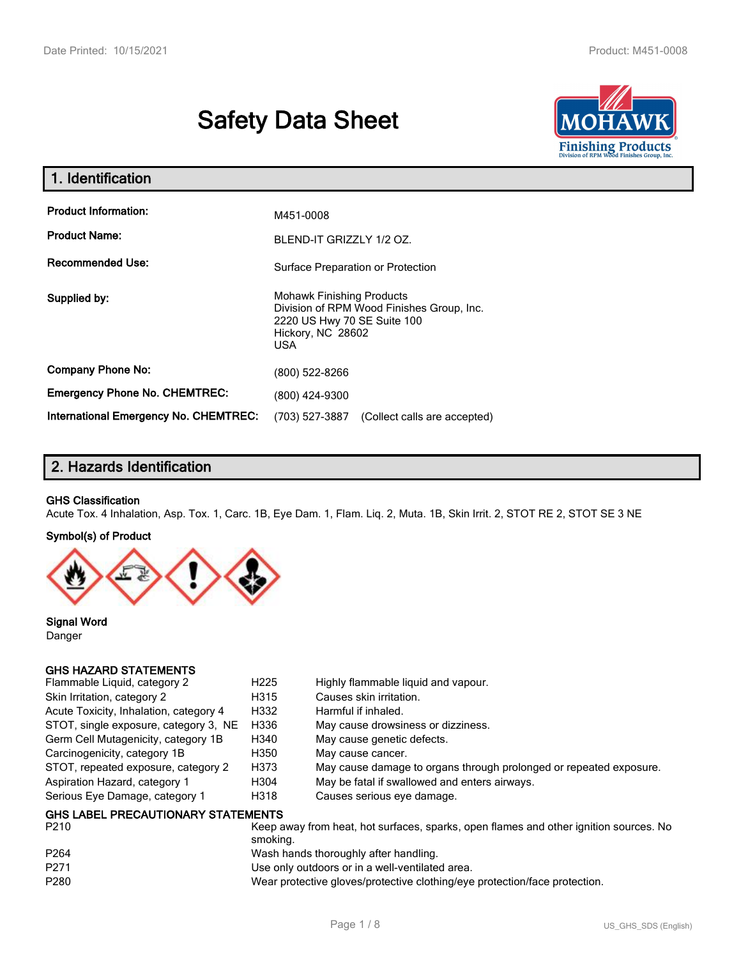# **Safety Data Sheet**



| 1. Identification                            |                                                                                                                                          |  |  |
|----------------------------------------------|------------------------------------------------------------------------------------------------------------------------------------------|--|--|
| <b>Product Information:</b>                  | M451-0008                                                                                                                                |  |  |
| <b>Product Name:</b>                         | BLEND-IT GRIZZLY 1/2 OZ.                                                                                                                 |  |  |
| <b>Recommended Use:</b>                      | Surface Preparation or Protection                                                                                                        |  |  |
| Supplied by:                                 | <b>Mohawk Finishing Products</b><br>Division of RPM Wood Finishes Group, Inc.<br>2220 US Hwy 70 SE Suite 100<br>Hickory, NC 28602<br>USA |  |  |
| <b>Company Phone No:</b>                     | (800) 522-8266                                                                                                                           |  |  |
| <b>Emergency Phone No. CHEMTREC:</b>         | (800) 424-9300                                                                                                                           |  |  |
| <b>International Emergency No. CHEMTREC:</b> | (703) 527-3887<br>(Collect calls are accepted)                                                                                           |  |  |

# **2. Hazards Identification**

#### **GHS Classification**

Acute Tox. 4 Inhalation, Asp. Tox. 1, Carc. 1B, Eye Dam. 1, Flam. Liq. 2, Muta. 1B, Skin Irrit. 2, STOT RE 2, STOT SE 3 NE

#### **Symbol(s) of Product**



**Signal Word** Danger

#### **GHS HAZARD STATEMENTS**

| Flammable Liquid, category 2              | H <sub>225</sub> | Highly flammable liquid and vapour.                                |
|-------------------------------------------|------------------|--------------------------------------------------------------------|
| Skin Irritation, category 2               | H315             | Causes skin irritation.                                            |
| Acute Toxicity, Inhalation, category 4    | H332             | Harmful if inhaled.                                                |
| STOT, single exposure, category 3, NE     | H336             | May cause drowsiness or dizziness.                                 |
| Germ Cell Mutagenicity, category 1B       | H340             | May cause genetic defects.                                         |
| Carcinogenicity, category 1B              | H350             | May cause cancer.                                                  |
| STOT, repeated exposure, category 2       | H373             | May cause damage to organs through prolonged or repeated exposure. |
| Aspiration Hazard, category 1             | H304             | May be fatal if swallowed and enters airways.                      |
| Serious Eye Damage, category 1            | H318             | Causes serious eye damage.                                         |
| <b>GHS LABEL PRECAUTIONARY STATEMENTS</b> |                  |                                                                    |

| P <sub>210</sub> | Keep away from heat, hot surfaces, sparks, open flames and other ignition sources. No<br>smoking. |
|------------------|---------------------------------------------------------------------------------------------------|
| P <sub>264</sub> | Wash hands thoroughly after handling.                                                             |
| P271             | Use only outdoors or in a well-ventilated area.                                                   |
| P <sub>280</sub> | Wear protective gloves/protective clothing/eye protection/face protection.                        |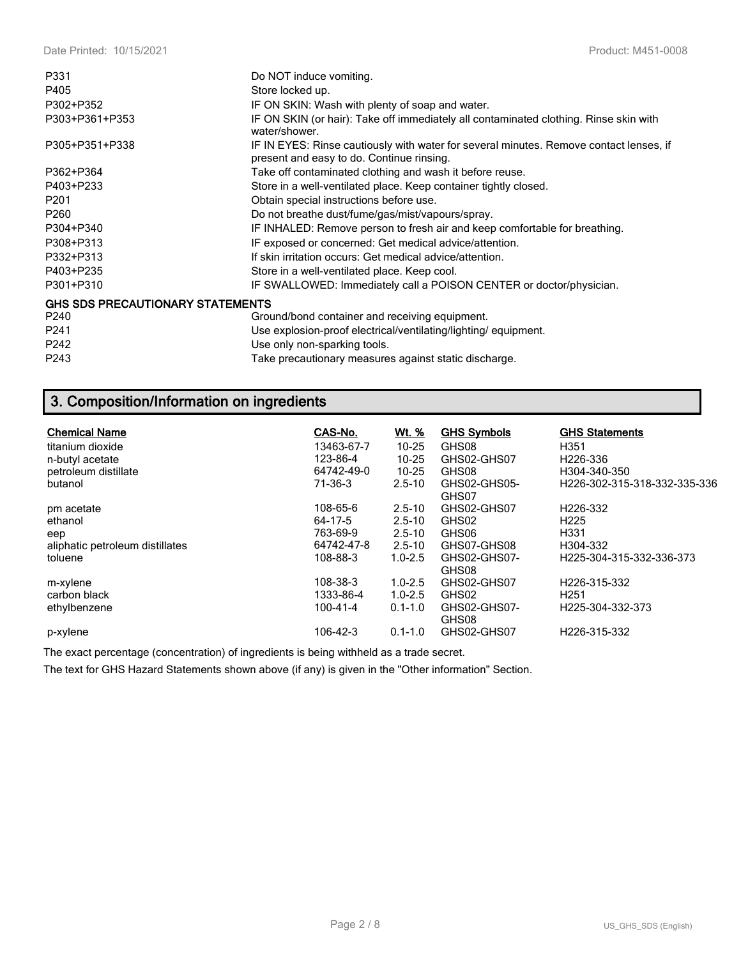| P331                                    | Do NOT induce vomiting.                                                                                                             |
|-----------------------------------------|-------------------------------------------------------------------------------------------------------------------------------------|
| P405                                    | Store locked up.                                                                                                                    |
| P302+P352                               | IF ON SKIN: Wash with plenty of soap and water.                                                                                     |
| P303+P361+P353                          | IF ON SKIN (or hair): Take off immediately all contaminated clothing. Rinse skin with<br>water/shower.                              |
| P305+P351+P338                          | IF IN EYES: Rinse cautiously with water for several minutes. Remove contact lenses, if<br>present and easy to do. Continue rinsing. |
| P362+P364                               | Take off contaminated clothing and wash it before reuse.                                                                            |
| P403+P233                               | Store in a well-ventilated place. Keep container tightly closed.                                                                    |
| P <sub>201</sub>                        | Obtain special instructions before use.                                                                                             |
| P260                                    | Do not breathe dust/fume/gas/mist/vapours/spray.                                                                                    |
| P304+P340                               | IF INHALED: Remove person to fresh air and keep comfortable for breathing.                                                          |
| P308+P313                               | IF exposed or concerned: Get medical advice/attention.                                                                              |
| P332+P313                               | If skin irritation occurs: Get medical advice/attention.                                                                            |
| P403+P235                               | Store in a well-ventilated place. Keep cool.                                                                                        |
| P301+P310                               | IF SWALLOWED: Immediately call a POISON CENTER or doctor/physician.                                                                 |
| <b>GHS SDS PRECAUTIONARY STATEMENTS</b> |                                                                                                                                     |
| P240                                    | Ground/bond container and receiving equipment.                                                                                      |
| P241                                    | Use explosion-proof electrical/ventilating/lighting/equipment.                                                                      |
| P242                                    | Use only non-sparking tools.                                                                                                        |
| P243                                    | Take precautionary measures against static discharge.                                                                               |

# **3. Composition/Information on ingredients**

| <b>Chemical Name</b><br>titanium dioxide<br>n-butyl acetate<br>petroleum distillate<br>butanol | CAS-No.<br>13463-67-7<br>123-86-4<br>64742-49-0<br>71-36-3 | <u>Wt. %</u><br>$10 - 25$<br>$10 - 25$<br>$10 - 25$<br>$2.5 - 10$   | <b>GHS Symbols</b><br>GHS08<br>GHS02-GHS07<br>GHS08<br>GHS02-GHS05-<br>GHS07 | <b>GHS Statements</b><br>H351<br>H <sub>226</sub> -336<br>H304-340-350<br>H226-302-315-318-332-335-336 |
|------------------------------------------------------------------------------------------------|------------------------------------------------------------|---------------------------------------------------------------------|------------------------------------------------------------------------------|--------------------------------------------------------------------------------------------------------|
| pm acetate<br>ethanol<br>eep<br>aliphatic petroleum distillates<br>toluene                     | 108-65-6<br>64-17-5<br>763-69-9<br>64742-47-8<br>108-88-3  | $2.5 - 10$<br>$2.5 - 10$<br>$2.5 - 10$<br>$2.5 - 10$<br>$1.0 - 2.5$ | GHS02-GHS07<br>GHS02<br>GHS06<br>GHS07-GHS08<br>GHS02-GHS07-<br>GHS08        | H <sub>226</sub> -332<br>H <sub>225</sub><br>H331<br>H304-332<br>H225-304-315-332-336-373              |
| m-xylene<br>carbon black<br>ethylbenzene<br>p-xylene                                           | 108-38-3<br>1333-86-4<br>100-41-4<br>106-42-3              | $1.0 - 2.5$<br>$1.0 - 2.5$<br>$0.1 - 1.0$<br>$0.1 - 1.0$            | GHS02-GHS07<br>GHS02<br>GHS02-GHS07-<br>GHS08<br>GHS02-GHS07                 | H <sub>226</sub> -315-332<br>H <sub>251</sub><br>H <sub>225</sub> -304-332-373<br>H226-315-332         |

The exact percentage (concentration) of ingredients is being withheld as a trade secret.

The text for GHS Hazard Statements shown above (if any) is given in the "Other information" Section.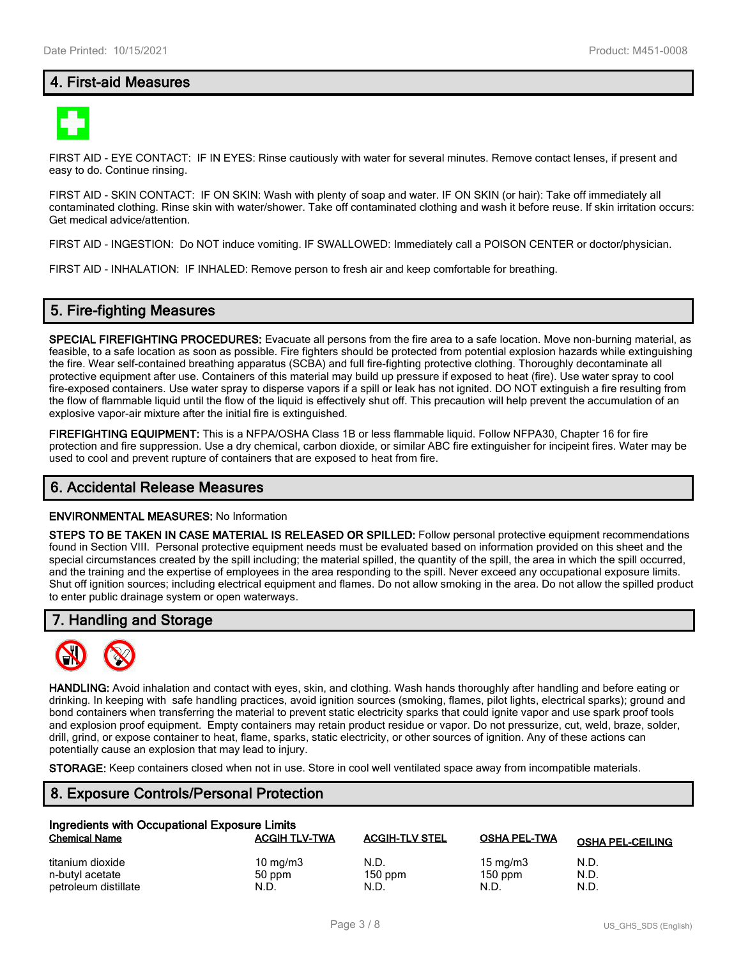# **4. First-aid Measures**



FIRST AID - EYE CONTACT: IF IN EYES: Rinse cautiously with water for several minutes. Remove contact lenses, if present and easy to do. Continue rinsing.

FIRST AID - SKIN CONTACT: IF ON SKIN: Wash with plenty of soap and water. IF ON SKIN (or hair): Take off immediately all contaminated clothing. Rinse skin with water/shower. Take off contaminated clothing and wash it before reuse. If skin irritation occurs: Get medical advice/attention.

FIRST AID - INGESTION: Do NOT induce vomiting. IF SWALLOWED: Immediately call a POISON CENTER or doctor/physician.

FIRST AID - INHALATION: IF INHALED: Remove person to fresh air and keep comfortable for breathing.

### **5. Fire-fighting Measures**

**SPECIAL FIREFIGHTING PROCEDURES:** Evacuate all persons from the fire area to a safe location. Move non-burning material, as feasible, to a safe location as soon as possible. Fire fighters should be protected from potential explosion hazards while extinguishing the fire. Wear self-contained breathing apparatus (SCBA) and full fire-fighting protective clothing. Thoroughly decontaminate all protective equipment after use. Containers of this material may build up pressure if exposed to heat (fire). Use water spray to cool fire-exposed containers. Use water spray to disperse vapors if a spill or leak has not ignited. DO NOT extinguish a fire resulting from the flow of flammable liquid until the flow of the liquid is effectively shut off. This precaution will help prevent the accumulation of an explosive vapor-air mixture after the initial fire is extinguished.

**FIREFIGHTING EQUIPMENT:** This is a NFPA/OSHA Class 1B or less flammable liquid. Follow NFPA30, Chapter 16 for fire protection and fire suppression. Use a dry chemical, carbon dioxide, or similar ABC fire extinguisher for incipeint fires. Water may be used to cool and prevent rupture of containers that are exposed to heat from fire.

#### **6. Accidental Release Measures**

#### **ENVIRONMENTAL MEASURES:** No Information

**STEPS TO BE TAKEN IN CASE MATERIAL IS RELEASED OR SPILLED:** Follow personal protective equipment recommendations found in Section VIII. Personal protective equipment needs must be evaluated based on information provided on this sheet and the special circumstances created by the spill including; the material spilled, the quantity of the spill, the area in which the spill occurred, and the training and the expertise of employees in the area responding to the spill. Never exceed any occupational exposure limits. Shut off ignition sources; including electrical equipment and flames. Do not allow smoking in the area. Do not allow the spilled product to enter public drainage system or open waterways.

### **7. Handling and Storage**



**HANDLING:** Avoid inhalation and contact with eyes, skin, and clothing. Wash hands thoroughly after handling and before eating or drinking. In keeping with safe handling practices, avoid ignition sources (smoking, flames, pilot lights, electrical sparks); ground and bond containers when transferring the material to prevent static electricity sparks that could ignite vapor and use spark proof tools and explosion proof equipment. Empty containers may retain product residue or vapor. Do not pressurize, cut, weld, braze, solder, drill, grind, or expose container to heat, flame, sparks, static electricity, or other sources of ignition. Any of these actions can potentially cause an explosion that may lead to injury.

**STORAGE:** Keep containers closed when not in use. Store in cool well ventilated space away from incompatible materials.

# **8. Exposure Controls/Personal Protection**

| Ingredients with Occupational Exposure Limits |                      |                       |                     |                         |  |
|-----------------------------------------------|----------------------|-----------------------|---------------------|-------------------------|--|
| <b>Chemical Name</b>                          | <b>ACGIH TLV-TWA</b> | <b>ACGIH-TLV STEL</b> | <b>OSHA PEL-TWA</b> | <b>OSHA PEL-CEILING</b> |  |
| titanium dioxide                              | $10 \text{ mg/m}$    | N.D.                  | $15 \text{ mg/m}$   | N.D.                    |  |
| n-butyl acetate                               | 50 ppm               | $150$ ppm             | $150$ ppm           | N.D.                    |  |
| petroleum distillate                          | N.D.                 | N.D.                  | N.D.                | N.D.                    |  |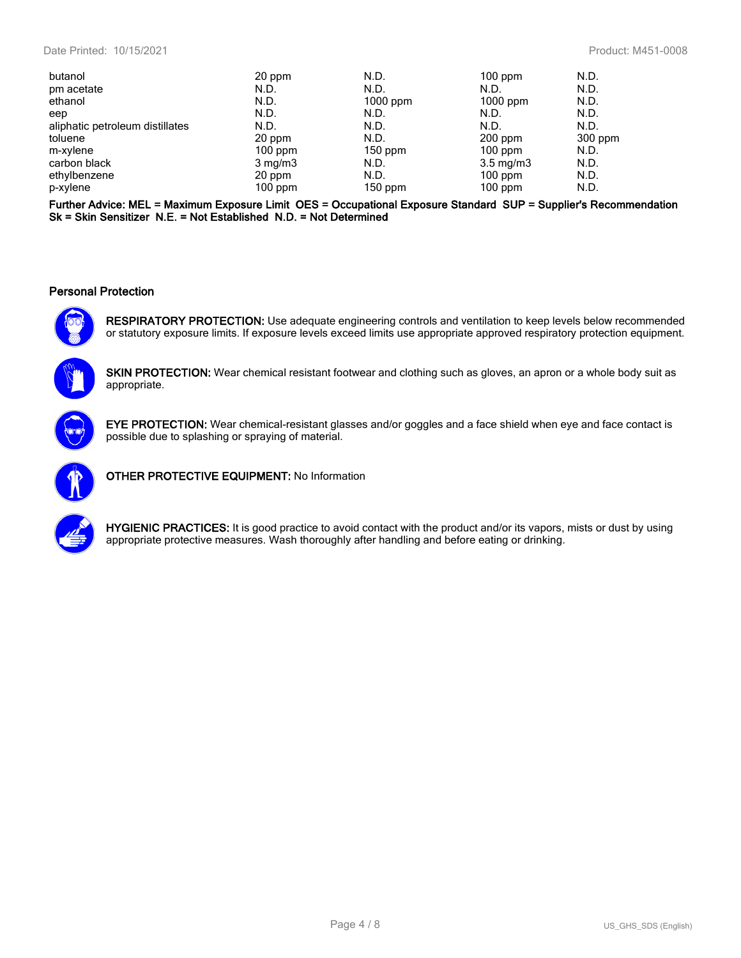| butanol                         | 20 ppm           | N.D.       | $100$ ppm          | N.D.    |
|---------------------------------|------------------|------------|--------------------|---------|
| pm acetate                      | N.D.             | N.D.       | N.D.               | N.D.    |
| ethanol                         | N.D.             | $1000$ ppm | $1000$ ppm         | N.D.    |
| eep                             | N.D.             | N.D.       | N.D.               | N.D.    |
| aliphatic petroleum distillates | N.D.             | N.D.       | N.D.               | N.D.    |
| toluene                         | 20 ppm           | N.D.       | $200$ ppm          | 300 ppm |
| m-xylene                        | $100$ ppm        | $150$ ppm  | $100$ ppm          | N.D.    |
| carbon black                    | $3 \text{ mg/m}$ | N.D.       | $3.5 \text{ mg/m}$ | N.D.    |
| ethylbenzene                    | 20 ppm           | N.D.       | $100$ ppm          | N.D.    |
| p-xylene                        | $100$ ppm        | $150$ ppm  | $100$ ppm          | N.D.    |

**Further Advice: MEL = Maximum Exposure Limit OES = Occupational Exposure Standard SUP = Supplier's Recommendation Sk = Skin Sensitizer N.E. = Not Established N.D. = Not Determined**

#### **Personal Protection**



**RESPIRATORY PROTECTION:** Use adequate engineering controls and ventilation to keep levels below recommended or statutory exposure limits. If exposure levels exceed limits use appropriate approved respiratory protection equipment.



**SKIN PROTECTION:** Wear chemical resistant footwear and clothing such as gloves, an apron or a whole body suit as appropriate.



**EYE PROTECTION:** Wear chemical-resistant glasses and/or goggles and a face shield when eye and face contact is possible due to splashing or spraying of material.



**OTHER PROTECTIVE EQUIPMENT:** No Information



**HYGIENIC PRACTICES:** It is good practice to avoid contact with the product and/or its vapors, mists or dust by using appropriate protective measures. Wash thoroughly after handling and before eating or drinking.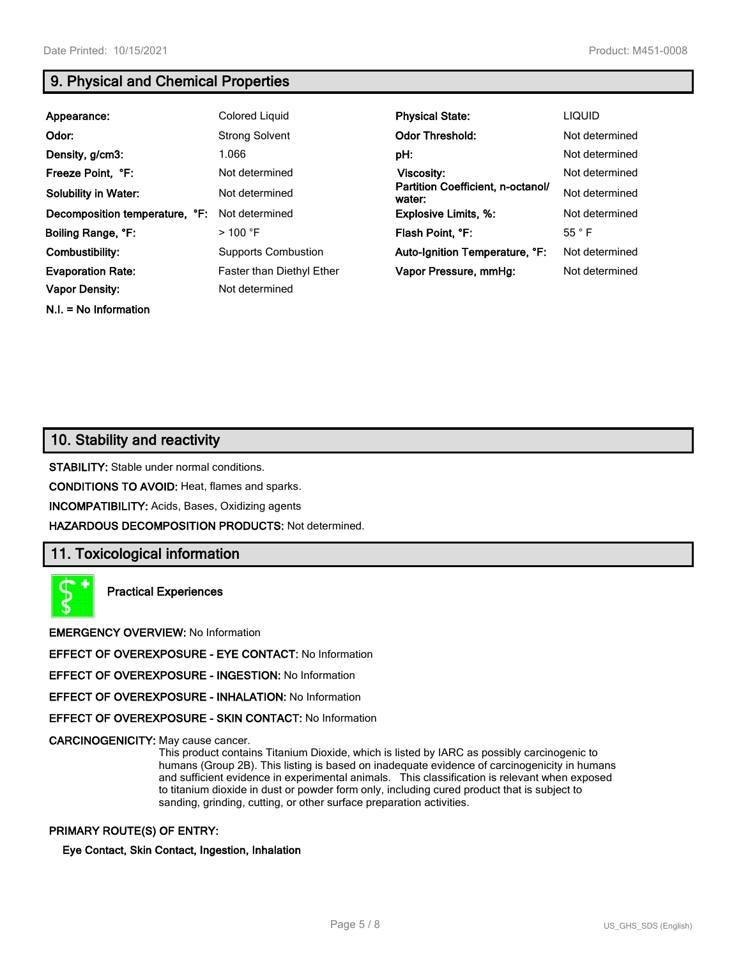# **9. Physical and Chemical Properties**

| Appearance:                    | Colored Liquid                   | <b>Physical State:</b>                      | <b>LIQUID</b>  |
|--------------------------------|----------------------------------|---------------------------------------------|----------------|
| Odor:                          | <b>Strong Solvent</b>            | <b>Odor Threshold:</b>                      | Not determined |
| Density, g/cm3:                | 1.066                            | pH:                                         | Not determined |
| Freeze Point, °F:              | Not determined                   | Viscosity:                                  | Not determined |
| <b>Solubility in Water:</b>    | Not determined                   | Partition Coefficient, n-octanol/<br>water: | Not determined |
| Decomposition temperature, °F: | Not determined                   | <b>Explosive Limits, %:</b>                 | Not determined |
| Boiling Range, °F:             | $>$ 100 °F                       | Flash Point, °F:                            | $55^{\circ}$ F |
| Combustibility:                | <b>Supports Combustion</b>       | Auto-Ignition Temperature, °F:              | Not determined |
| <b>Evaporation Rate:</b>       | <b>Faster than Diethyl Ether</b> | Vapor Pressure, mmHg:                       | Not determined |
| <b>Vapor Density:</b>          | Not determined                   |                                             |                |

**N.I. = No Information**

**10. Stability and reactivity**

**STABILITY:** Stable under normal conditions.

**CONDITIONS TO AVOID:** Heat, flames and sparks.

**INCOMPATIBILITY:** Acids, Bases, Oxidizing agents

**HAZARDOUS DECOMPOSITION PRODUCTS:** Not determined.

# **11. Toxicological information**

**Practical Experiences**

**EMERGENCY OVERVIEW:** No Information

**EFFECT OF OVEREXPOSURE - EYE CONTACT:** No Information

**EFFECT OF OVEREXPOSURE - INGESTION:** No Information

**EFFECT OF OVEREXPOSURE - INHALATION:** No Information

**EFFECT OF OVEREXPOSURE - SKIN CONTACT:** No Information

**CARCINOGENICITY:** May cause cancer.

This product contains Titanium Dioxide, which is listed by IARC as possibly carcinogenic to humans (Group 2B). This listing is based on inadequate evidence of carcinogenicity in humans and sufficient evidence in experimental animals. This classification is relevant when exposed to titanium dioxide in dust or powder form only, including cured product that is subject to sanding, grinding, cutting, or other surface preparation activities.

#### **PRIMARY ROUTE(S) OF ENTRY:**

**Eye Contact, Skin Contact, Ingestion, Inhalation**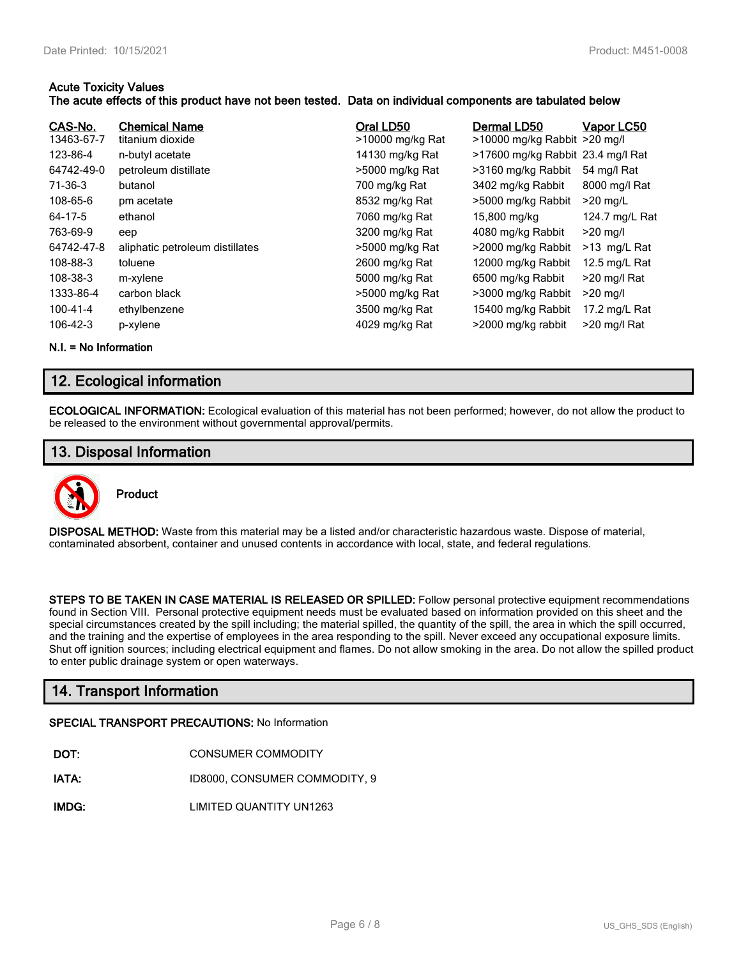#### **Acute Toxicity Values**

#### **The acute effects of this product have not been tested. Data on individual components are tabulated below**

| CAS-No.<br>13463-67-7<br>123-86-4<br>64742-49-0 | <b>Chemical Name</b><br>titanium dioxide<br>n-butyl acetate<br>petroleum distillate | Oral LD50<br>>10000 mg/kg Rat<br>14130 mg/kg Rat<br>>5000 mg/kg Rat | Dermal LD50<br>>10000 mg/kg Rabbit >20 mg/l<br>>17600 mg/kg Rabbit 23.4 mg/l Rat<br>>3160 mg/kg Rabbit | Vapor LC50<br>54 mg/l Rat |
|-------------------------------------------------|-------------------------------------------------------------------------------------|---------------------------------------------------------------------|--------------------------------------------------------------------------------------------------------|---------------------------|
| 71-36-3                                         | butanol                                                                             | 700 mg/kg Rat                                                       | 3402 mg/kg Rabbit                                                                                      | 8000 mg/l Rat             |
| 108-65-6                                        | pm acetate                                                                          | 8532 mg/kg Rat                                                      | >5000 mg/kg Rabbit                                                                                     | $>20$ mg/L                |
| 64-17-5                                         | ethanol                                                                             | 7060 mg/kg Rat                                                      | 15,800 mg/kg                                                                                           | 124.7 mg/L Rat            |
| 763-69-9                                        | eep                                                                                 | 3200 mg/kg Rat                                                      | 4080 mg/kg Rabbit                                                                                      | $>20$ mg/l                |
| 64742-47-8                                      | aliphatic petroleum distillates                                                     | >5000 mg/kg Rat                                                     | >2000 mg/kg Rabbit                                                                                     | $>13$ mg/L Rat            |
| 108-88-3                                        | toluene                                                                             | 2600 mg/kg Rat                                                      | 12000 mg/kg Rabbit                                                                                     | 12.5 mg/L Rat             |
| 108-38-3                                        | m-xylene                                                                            | 5000 mg/kg Rat                                                      | 6500 mg/kg Rabbit                                                                                      | >20 mg/l Rat              |
| 1333-86-4                                       | carbon black                                                                        | >5000 mg/kg Rat                                                     | >3000 mg/kg Rabbit                                                                                     | $>20$ mg/l                |
| 100-41-4                                        | ethylbenzene                                                                        | 3500 mg/kg Rat                                                      | 15400 mg/kg Rabbit                                                                                     | 17.2 mg/L Rat             |
| 106-42-3                                        | p-xylene                                                                            | 4029 mg/kg Rat                                                      | >2000 mg/kg rabbit                                                                                     | >20 mg/l Rat              |

**N.I. = No Information**

# **12. Ecological information**

**ECOLOGICAL INFORMATION:** Ecological evaluation of this material has not been performed; however, do not allow the product to be released to the environment without governmental approval/permits.

# **13. Disposal Information**



**DISPOSAL METHOD:** Waste from this material may be a listed and/or characteristic hazardous waste. Dispose of material, contaminated absorbent, container and unused contents in accordance with local, state, and federal regulations.

**STEPS TO BE TAKEN IN CASE MATERIAL IS RELEASED OR SPILLED:** Follow personal protective equipment recommendations found in Section VIII. Personal protective equipment needs must be evaluated based on information provided on this sheet and the special circumstances created by the spill including; the material spilled, the quantity of the spill, the area in which the spill occurred, and the training and the expertise of employees in the area responding to the spill. Never exceed any occupational exposure limits. Shut off ignition sources; including electrical equipment and flames. Do not allow smoking in the area. Do not allow the spilled product to enter public drainage system or open waterways.

# **14. Transport Information**

#### **SPECIAL TRANSPORT PRECAUTIONS:** No Information

- **IATA:** ID8000, CONSUMER COMMODITY, 9
- **IMDG:** LIMITED QUANTITY UN1263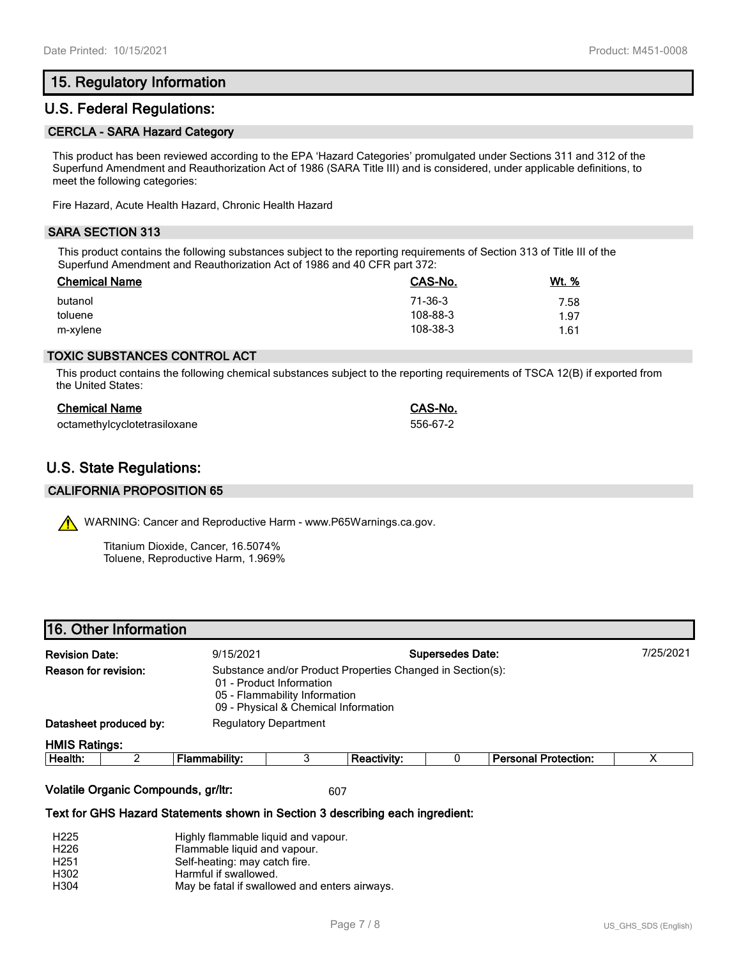# **15. Regulatory Information**

## **U.S. Federal Regulations:**

#### **CERCLA - SARA Hazard Category**

This product has been reviewed according to the EPA 'Hazard Categories' promulgated under Sections 311 and 312 of the Superfund Amendment and Reauthorization Act of 1986 (SARA Title III) and is considered, under applicable definitions, to meet the following categories:

Fire Hazard, Acute Health Hazard, Chronic Health Hazard

#### **SARA SECTION 313**

This product contains the following substances subject to the reporting requirements of Section 313 of Title III of the Superfund Amendment and Reauthorization Act of 1986 and 40 CFR part 372:

| <b>Chemical Name</b> | CAS-No.  | Wt. % |
|----------------------|----------|-------|
| butanol              | 71-36-3  | 7.58  |
| toluene              | 108-88-3 | 1.97  |
| m-xylene             | 108-38-3 | 1.61  |

#### **TOXIC SUBSTANCES CONTROL ACT**

This product contains the following chemical substances subject to the reporting requirements of TSCA 12(B) if exported from the United States:

| <b>Chemical Name</b>         | CAS-No.  |
|------------------------------|----------|
| octamethylcyclotetrasiloxane | 556-67-2 |

# **U.S. State Regulations:**

#### **CALIFORNIA PROPOSITION 65**

WARNING: Cancer and Reproductive Harm - www.P65Warnings.ca.gov.

Titanium Dioxide, Cancer, 16.5074% Toluene, Reproductive Harm, 1.969%

| 16. Other Information              |  |                                                                                                                                                                 |   |                    |           |                             |  |  |
|------------------------------------|--|-----------------------------------------------------------------------------------------------------------------------------------------------------------------|---|--------------------|-----------|-----------------------------|--|--|
| <b>Revision Date:</b><br>9/15/2021 |  | <b>Supersedes Date:</b>                                                                                                                                         |   |                    | 7/25/2021 |                             |  |  |
| Reason for revision:               |  | Substance and/or Product Properties Changed in Section(s):<br>01 - Product Information<br>05 - Flammability Information<br>09 - Physical & Chemical Information |   |                    |           |                             |  |  |
| Datasheet produced by:             |  | <b>Regulatory Department</b>                                                                                                                                    |   |                    |           |                             |  |  |
| <b>HMIS Ratings:</b>               |  |                                                                                                                                                                 |   |                    |           |                             |  |  |
| Health:                            |  | Flammability:                                                                                                                                                   | 3 | <b>Reactivity:</b> |           | <b>Personal Protection:</b> |  |  |

#### **Volatile Organic Compounds, gr/ltr:** 607

#### **Text for GHS Hazard Statements shown in Section 3 describing each ingredient:**

| H <sub>225</sub> | Highly flammable liquid and vapour.           |
|------------------|-----------------------------------------------|
| H <sub>226</sub> | Flammable liquid and vapour.                  |
| H <sub>251</sub> | Self-heating: may catch fire.                 |
| H302             | Harmful if swallowed.                         |
| H <sub>304</sub> | May be fatal if swallowed and enters airways. |